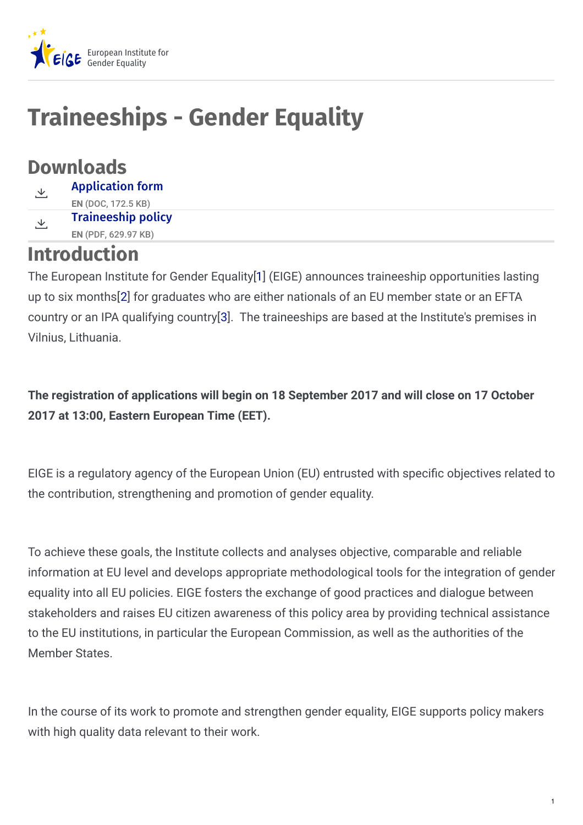

# **Traineeships - Gender Equality**

### **Downloads**

[Application](https://eige.europa.eu/sites/default/files/documents/eige_application_form_traineeship_gender_equality_1.doc) form **EN** (DOC, 172.5 KB) 上 [Traineeship](https://eige.europa.eu/sites/default/files/documents/dd0111_eiges_traineeship_policy_0.pdf) policy **EN** (PDF, 629.97 KB) と

### **Introduction**

The European Institute for Gender Equality[\[1](https://eige.europa.eu/recruitment/eige-2017-tr-8#1)] (EIGE) announces traineeship opportunities lasting up to six months[[2](https://eige.europa.eu/recruitment/eige-2017-tr-8#2)] for graduates who are either nationals of an EU member state or an EFTA country or an IPA qualifying country[\[3](https://eige.europa.eu/recruitment/eige-2017-tr-8#3)]. The traineeships are based at the Institute's premises in Vilnius, Lithuania.

**The registration of applications will begin on 18 September 2017 and will close on 17 October 2017 at 13:00, Eastern European Time (EET).**

EIGE is a regulatory agency of the European Union (EU) entrusted with specific objectives related to the contribution, strengthening and promotion of gender equality.

To achieve these goals, the Institute collects and analyses objective, comparable and reliable information at EU level and develops appropriate methodological tools for the integration of gender equality into all EU policies. EIGE fosters the exchange of good practices and dialogue between stakeholders and raises EU citizen awareness of this policy area by providing technical assistance to the EU institutions, in particular the European Commission, as well as the authorities of the Member States.

In the course of its work to promote and strengthen gender equality, EIGE supports policy makers with high quality data relevant to their work.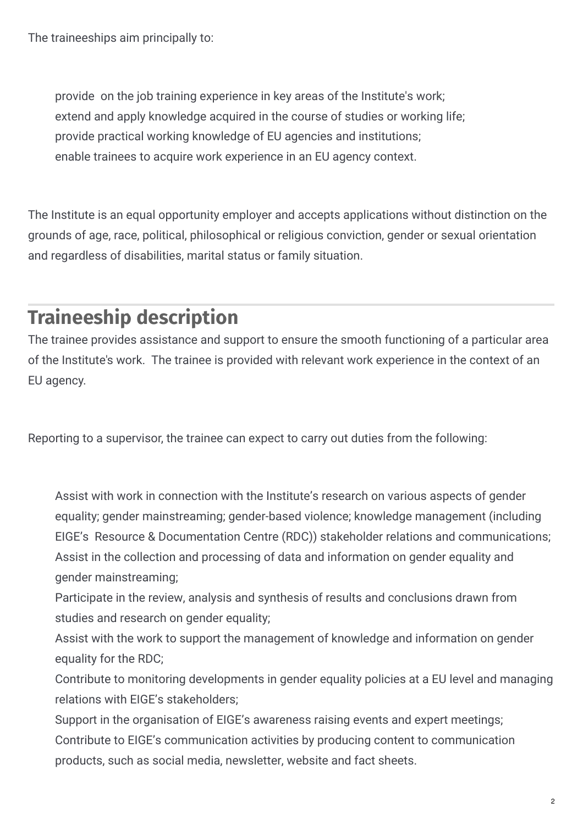The traineeships aim principally to:

provide on the job training experience in key areas of the Institute's work; extend and apply knowledge acquired in the course of studies or working life; provide practical working knowledge of EU agencies and institutions; enable trainees to acquire work experience in an EU agency context.

The Institute is an equal opportunity employer and accepts applications without distinction on the grounds of age, race, political, philosophical or religious conviction, gender or sexual orientation and regardless of disabilities, marital status or family situation.

## **Traineeship description**

The trainee provides assistance and support to ensure the smooth functioning of a particular area of the Institute's work. The trainee is provided with relevant work experience in the context of an EU agency.

Reporting to a supervisor, the trainee can expect to carry out duties from the following:

Assist with work in connection with the Institute's research on various aspects of gender equality; gender mainstreaming; gender-based violence; knowledge management (including EIGE's Resource & Documentation Centre (RDC)) stakeholder relations and communications; Assist in the collection and processing of data and information on gender equality and gender mainstreaming;

Participate in the review, analysis and synthesis of results and conclusions drawn from studies and research on gender equality;

Assist with the work to support the management of knowledge and information on gender equality for the RDC;

Contribute to monitoring developments in gender equality policies at a EU level and managing relations with EIGE's stakeholders;

Support in the organisation of EIGE's awareness raising events and expert meetings; Contribute to EIGE's communication activities by producing content to communication products, such as social media, newsletter, website and fact sheets.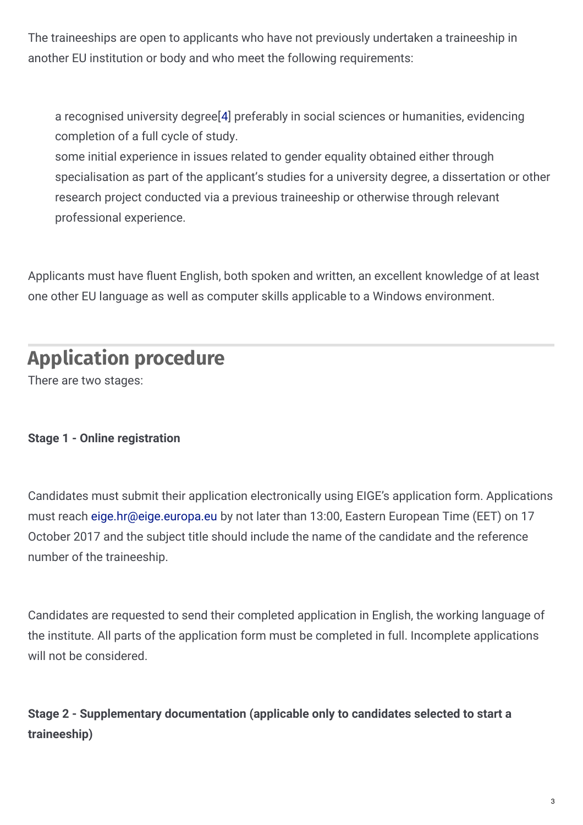The traineeships are open to applicants who have not previously undertaken a traineeship in another EU institution or body and who meet the following requirements:

a recognised university degree[\[4](https://eige.europa.eu/recruitment/eige-2017-tr-8#4)] preferably in social sciences or humanities, evidencing completion of a full cycle of study.

some initial experience in issues related to gender equality obtained either through specialisation as part of the applicant's studies for a university degree, a dissertation or other research project conducted via a previous traineeship or otherwise through relevant professional experience.

Applicants must have fluent English, both spoken and written, an excellent knowledge of at least one other EU language as well as computer skills applicable to a Windows environment.

### **Application procedure**

There are two stages:

#### **Stage 1 - Online registration**

Candidates must submit their application electronically using EIGE's application form. Applications must reach [eige.hr@eige.europa.eu](mailto:eige.hr@eige.europa.eu) by not later than 13:00, Eastern European Time (EET) on 17 October 2017 and the subject title should include the name of the candidate and the reference number of the traineeship.

Candidates are requested to send their completed application in English, the working language of the institute. All parts of the application form must be completed in full. Incomplete applications will not be considered.

**Stage 2 - Supplementary documentation (applicable only to candidates selected to start a traineeship)**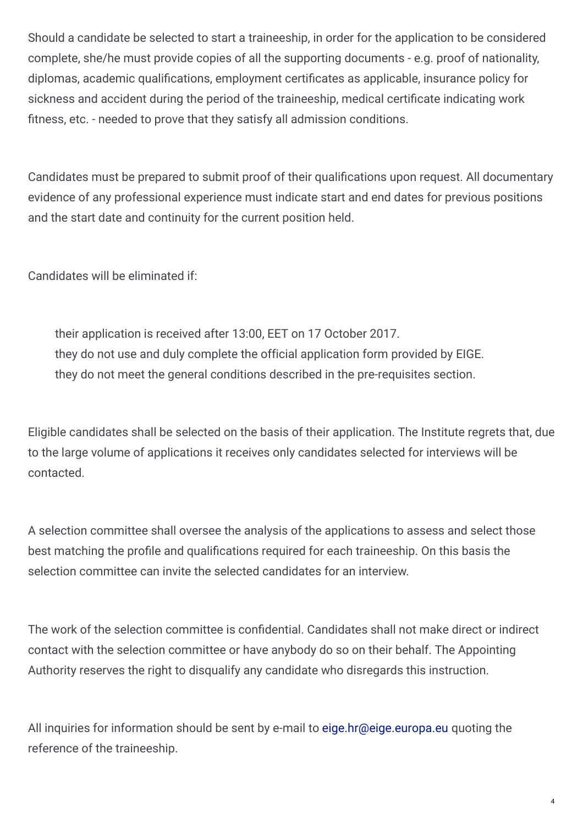Should a candidate be selected to start a traineeship, in order for the application to be considered complete, she/he must provide copies of all the supporting documents - e.g. proof of nationality, diplomas, academic qualifications, employment certificates as applicable, insurance policy for sickness and accident during the period of the traineeship, medical certificate indicating work fitness, etc. - needed to prove that they satisfy all admission conditions.

Candidates must be prepared to submit proof of their qualifications upon request. All documentary evidence of any professional experience must indicate start and end dates for previous positions and the start date and continuity for the current position held.

Candidates will be eliminated if:

their application is received after 13:00, EET on 17 October 2017. they do not use and duly complete the official application form provided by EIGE. they do not meet the general conditions described in the pre-requisites section.

Eligible candidates shall be selected on the basis of their application. The Institute regrets that, due to the large volume of applications it receives only candidates selected for interviews will be contacted.

A selection committee shall oversee the analysis of the applications to assess and select those best matching the profile and qualifications required for each traineeship. On this basis the selection committee can invite the selected candidates for an interview.

The work of the selection committee is confidential. Candidates shall not make direct or indirect contact with the selection committee or have anybody do so on their behalf. The Appointing Authority reserves the right to disqualify any candidate who disregards this instruction.

All inquiries for information should be sent by e-mail to [eige.hr@eige.europa.eu](mailto:eige.hr@eige.europa.eu) quoting the reference of the traineeship.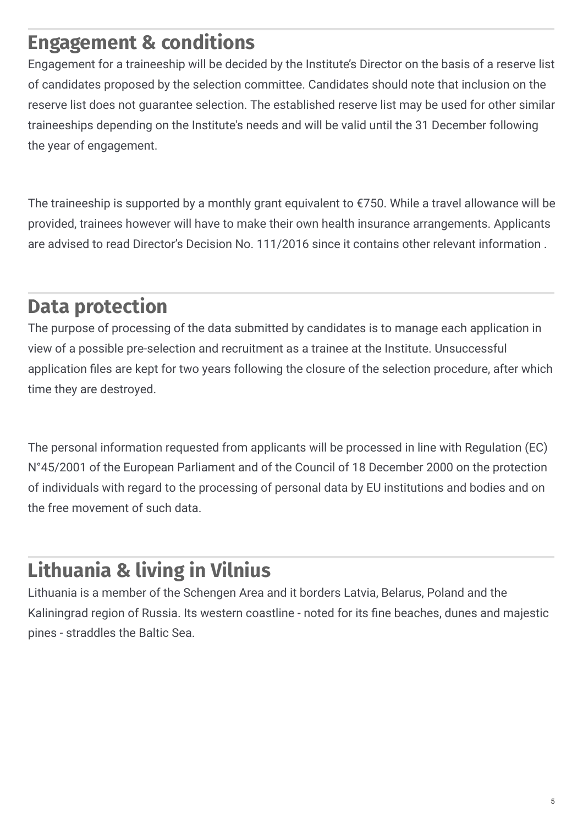### **Engagement & conditions**

Engagement for a traineeship will be decided by the Institute's Director on the basis of a reserve list of candidates proposed by the selection committee. Candidates should note that inclusion on the reserve list does not guarantee selection. The established reserve list may be used for other similar traineeships depending on the Institute's needs and will be valid until the 31 December following the year of engagement.

The traineeship is supported by a monthly grant equivalent to €750. While a travel allowance will be provided, trainees however will have to make their own health insurance arrangements. Applicants are advised to read Director's Decision No. 111/2016 since it contains other relevant information .

### **Data protection**

The purpose of processing of the data submitted by candidates is to manage each application in view of a possible pre-selection and recruitment as a trainee at the Institute. Unsuccessful application files are kept for two years following the closure of the selection procedure, after which time they are destroyed.

The personal information requested from applicants will be processed in line with Regulation (EC) N°45/2001 of the European Parliament and of the Council of 18 December 2000 on the protection of individuals with regard to the processing of personal data by EU institutions and bodies and on the free movement of such data.

# **Lithuania & living in Vilnius**

Lithuania is a member of the Schengen Area and it borders Latvia, Belarus, Poland and the Kaliningrad region of Russia. Its western coastline - noted for its fine beaches, dunes and majestic pines - straddles the Baltic Sea.